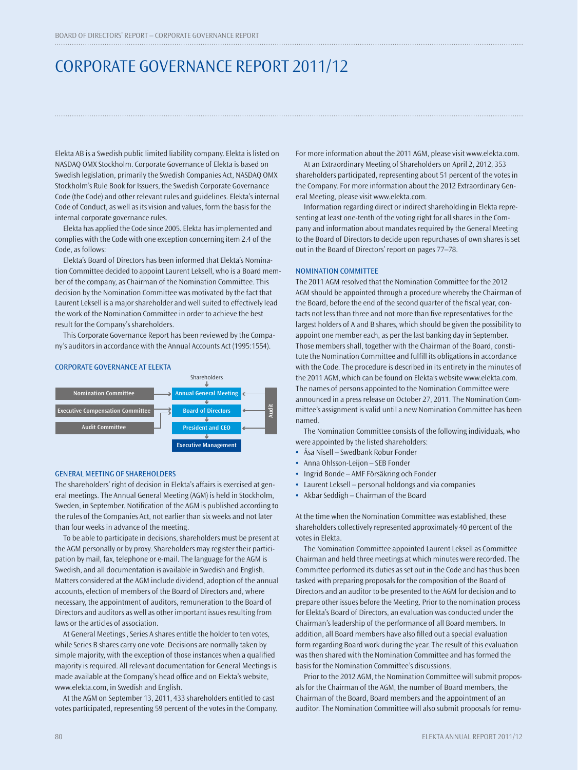# CORPORATE GOVERNANCE REPORT 2011/12

Elekta AB is a Swedish public limited liability company. Elekta is listed on NASDAQ OMX Stockholm. Corporate Governance of Elekta is based on Swedish legislation, primarily the Swedish Companies Act, NASDAQ OMX Stockholm's Rule Book for Issuers, the Swedish Corporate Governance Code (the Code) and other relevant rules and guidelines. Elekta's internal Code of Conduct, as well as its vision and values, form the basis for the internal corporate governance rules.

Elekta has applied the Code since 2005. Elekta has implemented and complies with the Code with one exception concerning item 2.4 of the Code, as follows:

Elekta's Board of Directors has been informed that Elekta's Nomination Committee decided to appoint Laurent Leksell, who is a Board member of the company, as Chairman of the Nomination Committee. This decision by the Nomination Committee was motivated by the fact that Laurent Leksell is a major shareholder and well suited to effectively lead the work of the Nomination Committee in order to achieve the best result for the Company's shareholders.

This Corporate Governance Report has been reviewed by the Company's auditors in accordance with the Annual Accounts Act (1995:1554).

#### CORPORATE GOVERNANCE AT ELEKTA



#### GENERAL MEETING OF SHAREHOLDERS

The shareholders' right of decision in Elekta's affairs is exercised at general meetings. The Annual General Meeting (AGM) is held in Stockholm, Sweden, in September. Notification of the AGM is published according to the rules of the Companies Act, not earlier than six weeks and not later than four weeks in advance of the meeting.

To be able to participate in decisions, shareholders must be present at the AGM personally or by proxy. Shareholders may register their participation by mail, fax, telephone or e-mail. The language for the AGM is Swedish, and all documentation is available in Swedish and English. Matters considered at the AGM include dividend, adoption of the annual accounts, election of members of the Board of Directors and, where necessary, the appointment of auditors, remuneration to the Board of Directors and auditors as well as other important issues resulting from laws or the articles of association.

At General Meetings , Series A shares entitle the holder to ten votes, while Series B shares carry one vote. Decisions are normally taken by simple majority, with the exception of those instances when a qualified majority is required. All relevant documentation for General Meetings is made available at the Company's head office and on Elekta's website, www.elekta.com, in Swedish and English.

At the AGM on September 13, 2011, 433 shareholders entitled to cast votes participated, representing 59 percent of the votes in the Company. For more information about the 2011 AGM, please visit www.elekta.com.

At an Extraordinary Meeting of Shareholders on April 2, 2012, 353 shareholders participated, representing about 51 percent of the votes in the Company. For more information about the 2012 Extraordinary General Meeting, please visit www.elekta.com.

Information regarding direct or indirect shareholding in Elekta representing at least one-tenth of the voting right for all shares in the Company and information about mandates required by the General Meeting to the Board of Directors to decide upon repurchases of own shares is set out in the Board of Directors' report on pages 77–78.

#### NOMINATION COMMITTEE

The 2011 AGM resolved that the Nomination Committee for the 2012 AGM should be appointed through a procedure whereby the Chairman of the Board, before the end of the second quarter of the fiscal year, contacts not less than three and not more than five representatives for the largest holders of A and B shares, which should be given the possibility to appoint one member each, as per the last banking day in September. Those members shall, together with the Chairman of the Board, constitute the Nomination Committee and fulfill its obligations in accordance with the Code. The procedure is described in its entirety in the minutes of the 2011 AGM, which can be found on Elekta's website www.elekta.com. The names of persons appointed to the Nomination Committee were announced in a press release on October 27, 2011. The Nomination Committee's assignment is valid until a new Nomination Committee has been named.

The Nomination Committee consists of the following individuals, who were appointed by the listed shareholders:

- **•** Åsa Nisell Swedbank Robur Fonder
- **•** Anna Ohlsson-Leijon SEB Fonder
- **•** Ingrid Bonde AMF Försäkring och Fonder
- **•** Laurent Leksell personal holdongs and via companies
- **•** Akbar Seddigh Chairman of the Board

At the time when the Nomination Committee was established, these shareholders collectively represented approximately 40 percent of the votes in Elekta.

The Nomination Committee appointed Laurent Leksell as Committee Chairman and held three meetings at which minutes were recorded. The Committee performed its duties as set out in the Code and has thus been tasked with preparing proposals for the composition of the Board of Directors and an auditor to be presented to the AGM for decision and to prepare other issues before the Meeting. Prior to the nomination process for Elekta's Board of Directors, an evaluation was conducted under the Chairman's leadership of the performance of all Board members. In addition, all Board members have also filled out a special evaluation form regarding Board work during the year. The result of this evaluation was then shared with the Nomination Committee and has formed the basis for the Nomination Committee's discussions.

Prior to the 2012 AGM, the Nomination Committee will submit proposals for the Chairman of the AGM, the number of Board members, the Chairman of the Board, Board members and the appointment of an auditor. The Nomination Committee will also submit proposals for remu-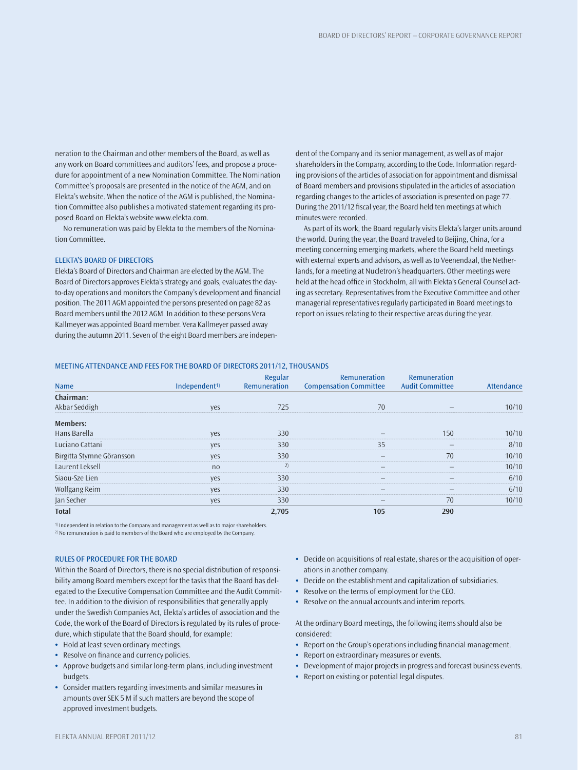neration to the Chairman and other members of the Board, as well as any work on Board committees and auditors' fees, and propose a procedure for appointment of a new Nomination Committee. The Nomination Committee's proposals are presented in the notice of the AGM, and on Elekta's website. When the notice of the AGM is published, the Nomination Committee also publishes a motivated statement regarding its proposed Board on Elekta's website www.elekta.com.

No remuneration was paid by Elekta to the members of the Nomination Committee.

# ELEKTA'S BOARD OF DIRECTORS

Elekta's Board of Directors and Chairman are elected by the AGM. The Board of Directors approves Elekta's strategy and goals, evaluates the dayto-day operations and monitors the Company's development and financial position. The 2011 AGM appointed the persons presented on page 82 as Board members until the 2012 AGM. In addition to these persons Vera Kallmeyer was appointed Board member. Vera Kallmeyer passed away during the autumn 2011. Seven of the eight Board members are independent of the Company and its senior management, as well as of major shareholders in the Company, according to the Code. Information regarding provisions of the articles of association for appointment and dismissal of Board members and provisions stipulated in the articles of association regarding changes to the articles of association is presented on page 77. During the 2011/12 fiscal year, the Board held ten meetings at which minutes were recorded.

As part of its work, the Board regularly visits Elekta's larger units around the world. During the year, the Board traveled to Beijing, China, for a meeting concerning emerging markets, where the Board held meetings with external experts and advisors, as well as to Veenendaal, the Netherlands, for a meeting at Nucletron's headquarters. Other meetings were held at the head office in Stockholm, all with Elekta's General Counsel acting as secretary. Representatives from the Executive Committee and other managerial representatives regularly participated in Board meetings to report on issues relating to their respective areas during the year.

#### MEETING ATTENDANCE AND FEES FOR THE BOARD OF DIRECTORS 2011/12, THOUSANDS

| <b>Name</b>               | Independent <sup>1)</sup> | Regular<br><b>Remuneration</b> | <b>Remuneration</b><br><b>Compensation Committee</b> | <b>Remuneration</b><br><b>Audit Committee</b> | Attendance |
|---------------------------|---------------------------|--------------------------------|------------------------------------------------------|-----------------------------------------------|------------|
| Chairman:                 |                           |                                |                                                      |                                               |            |
| Akbar Seddigh             | yes                       | 725                            | 70                                                   |                                               | 10/10      |
| Members:                  |                           |                                |                                                      |                                               |            |
| Hans Barella              | yes                       | 330                            |                                                      | 150                                           | 10/10      |
| Luciano Cattani           | yes                       | 330                            | 35                                                   |                                               | 8/10       |
| Birgitta Stymne Göransson | yes                       | 330                            |                                                      | 70                                            | 10/10      |
| Laurent Leksell           | no                        | 2)                             | $\overline{\phantom{0}}$                             |                                               | 10/10      |
| Siaou-Sze Lien            | yes                       | 330                            |                                                      |                                               | 6/10       |
| Wolfgang Reim             | yes                       | 330                            |                                                      |                                               | 6/10       |
| Jan Secher                | yes                       | 330                            | $\qquad \qquad -$                                    | 70                                            | 10/10      |
| <b>Total</b>              |                           | 2.705                          | 105                                                  | 290                                           |            |

1) Independent in relation to the Company and management as well as to major shareholders.

2) No remuneration is paid to members of the Board who are employed by the Company.

#### RULES OF PROCEDURE FOR THE BOARD

Within the Board of Directors, there is no special distribution of responsibility among Board members except for the tasks that the Board has delegated to the Executive Compensation Committee and the Audit Committee. In addition to the division of responsibilities that generally apply under the Swedish Companies Act, Elekta's articles of association and the Code, the work of the Board of Directors is regulated by its rules of procedure, which stipulate that the Board should, for example:

- **•** Hold at least seven ordinary meetings.
- Resolve on finance and currency policies.
- **•** Approve budgets and similar long-term plans, including investment budgets.
- **•** Consider matters regarding investments and similar measures in amounts over SEK 5 M if such matters are beyond the scope of approved investment budgets.
- **•** Decide on acquisitions of real estate, shares or the acquisition of operations in another company.
- **•** Decide on the establishment and capitalization of subsidiaries.
- **•** Resolve on the terms of employment for the CEO.
- **•** Resolve on the annual accounts and interim reports.

At the ordinary Board meetings, the following items should also be considered:

- Report on the Group's operations including financial management.
- **•** Report on extraordinary measures or events.
- **•** Development of major projects in progress and forecast business events.
- **•** Report on existing or potential legal disputes.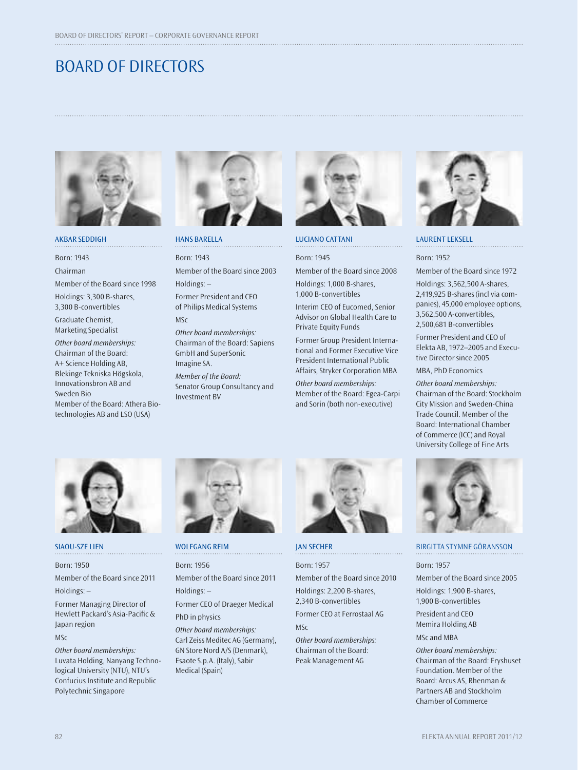# BOARD OF DIRECTORS



# AKBAR SEDDIGH

Born: 1943

Chairman

Member of the Board since 1998

Holdings: 3,300 B-shares, 3,300 B-convertibles

 Graduate Chemist, Marketing Specialist

Other board memberships: Chairman of the Board: A+ Science Holding AB, Blekinge Tekniska Högskola, Innovations bron AB and Sweden Bio Member of the Board: Athera Bio-

technologies AB and LSO (USA)



HANS BARELLA

Born: 1943 Member of the Board since 2003 Holdings: –

 Former President and CEO of Philips Medical Systems MSc

Other board memberships: Chairman of the Board: Sapiens GmbH and SuperSonic Imagine SA.

Member of the Board: Senator Group Consultancy and Investment BV



#### LUCIANO CATTANI

Born: 1945 Member of the Board since 2008

Holdings: 1,000 B-shares, 1,000 B-convertibles

Interim CEO of Eucomed, Senior Advisor on Global Health Care to Private Equity Funds

Former Group President International and Former Executive Vice President International Public Affairs, Stryker Corporation MBA

Other board memberships: Member of the Board: Egea-Carpi and Sorin (both non-executive)



#### LAURENT LEKSELL

Born: 1952

Member of the Board since 1972

Holdings: 3,562,500 A-shares, 2,419,925 B-shares (incl via companies), 45,000 employee options, 3,562,500 A-convertibles, 2,500,681 B-convertibles

Former President and CEO of Elekta AB, 1972–2005 and Executive Director since 2005

MBA, PhD Economics

Other board memberships: Chairman of the Board: Stockholm City Mission and Sweden-China Trade Council. Member of the Board: International Chamber of Commerce (ICC) and Royal University College of Fine Arts



#### SIAOU-SZE LIEN

Born: 1950

Member of the Board since 2011 Holdings: –

Former Managing Director of Hewlett Packard's Asia-Pacific & Japan region

MSc

Other board memberships: Luvata Holding, Nanyang Technological University (NTU), NTU's Confucius Institute and Republic Polytechnic Singapore



# WOLFGANG REIM

Born: 1956

Member of the Board since 2011 Holdings: –

. . . . . . . . . . . . . . . . . . .

Former CEO of Draeger Medical PhD in physics

Other board memberships: Carl Zeiss Meditec AG (Germany), GN Store Nord A/S (Denmark), Esaote S.p.A. (Italy), Sabir Medical (Spain)



# JAN SECHER

Born: 1957 Member of the Board since 2010

Holdings: 2,200 B-shares, 2,340 B-convertibles

Former CEO at Ferrostaal AG  $MSC$ 

Other board memberships: Chairman of the Board: Peak Management AG



### BIRGITTA STYMNE GÖRANSSON

Born: 1957

Member of the Board since 2005 Holdings: 1,900 B-shares,

1,900 B-convertibles

President and CEO Memira Holding AB MSc and MBA

Other board memberships: Chairman of the Board: Fryshuset Foundation. Member of the Board: Arcus AS, Rhenman & Partners AB and Stockholm Chamber of Commerce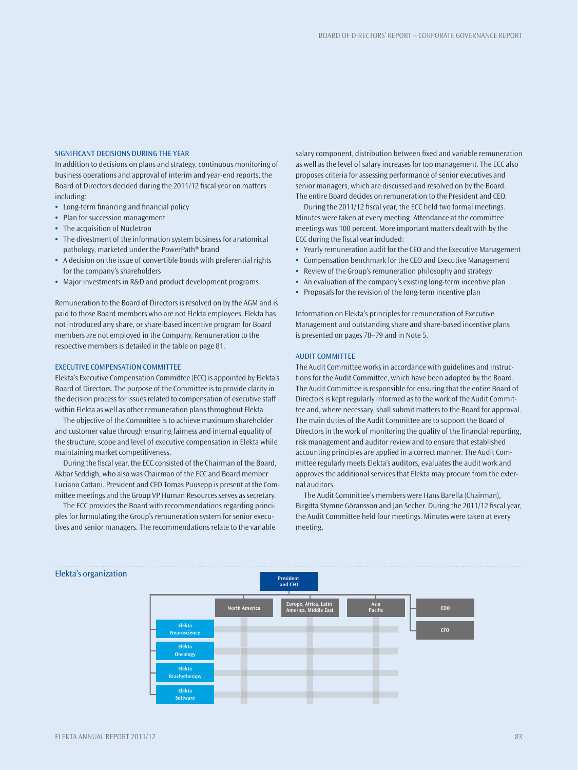#### SIGNIFICANT DECISIONS DURING THE YEAR

In addition to decisions on plans and strategy, continuous monitoring of business operations and approval of interim and year-end reports, the Board of Directors decided during the 2011/12 fiscal year on matters including:

- Long-term financing and financial policy
- **•** Plan for succession management
- **•** The acquisition of Nucletron
- **•** The divestment of the information system business for anatomical pathology, marketed under the PowerPath® brand
- **•** A decision on the issue of convertible bonds with preferential rights for the company's shareholders
- **•** Major investments in R&D and product development programs

Remuneration to the Board of Directors is resolved on by the AGM and is paid to those Board members who are not Elekta employees. Elekta has not introduced any share, or share-based incentive program for Board members are not employed in the Company. Remuneration to the respective members is detailed in the table on page 81.

#### EXECUTIVE COMPENSATION COMMITTEE

Elekta's Executive Compensation Committee (ECC) is appointed by Elekta's Board of Directors. The purpose of the Committee is to provide clarity in the decision process for issues related to compensation of executive staff within Elekta as well as other remuneration plans throughout Elekta.

The objective of the Committee is to achieve maximum shareholder and customer value through ensuring fairness and internal equality of the structure, scope and level of executive compensation in Elekta while maintaining market competitiveness.

During the fiscal year, the ECC consisted of the Chairman of the Board, Akbar Seddigh, who also was Chairman of the ECC and Board member Luciano Cattani. President and CEO Tomas Puusepp is present at the Committee meetings and the Group VP Human Resources serves as secretary.

The ECC provides the Board with recommendations regarding principles for formulating the Group's remuneration system for senior executives and senior managers. The recommendations relate to the variable salary component, distribution between fixed and variable remuneration as well as the level of salary increases for top management. The ECC also proposes criteria for assessing performance of senior executives and senior managers, which are discussed and resolved on by the Board. The entire Board decides on remuneration to the President and CEO.

During the 2011/12 fiscal year, the ECC held two formal meetings. Minutes were taken at every meeting. Attendance at the committee meetings was 100 percent. More important matters dealt with by the ECC during the fiscal year included:

- **•** Yearly remuneration audit for the CEO and the Executive Management
- **•** Compensation benchmark for the CEO and Executive Management
- **•** Review of the Group's remuneration philosophy and strategy
- **•** An evaluation of the company's existing long-term incentive plan
- **•** Proposals for the revision of the long-term incentive plan

Information on Elekta's principles for remuneration of Executive Management and outstanding share and share-based incentive plans is presented on pages 78–79 and in Note 5.

#### AUDIT COMMITTEE

The Audit Committee works in accordance with guidelines and instructions for the Audit Committee, which have been adopted by the Board. The Audit Committee is responsible for ensuring that the entire Board of Directors is kept regularly informed as to the work of the Audit Committee and, where necessary, shall submit matters to the Board for approval. The main duties of the Audit Committee are to support the Board of Directors in the work of monitoring the quality of the financial reporting, risk management and auditor review and to ensure that established accounting principles are applied in a correct manner. The Audit Committee regularly meets Elekta's auditors, evaluates the audit work and approves the additional services that Elekta may procure from the external auditors.

The Audit Committee's members were Hans Barella (Chairman), Birgitta Stymne Göransson and Jan Secher. During the 2011/12 fiscal year, the Audit Committee held four meetings. Minutes were taken at every meeting.



#### Elekta's organization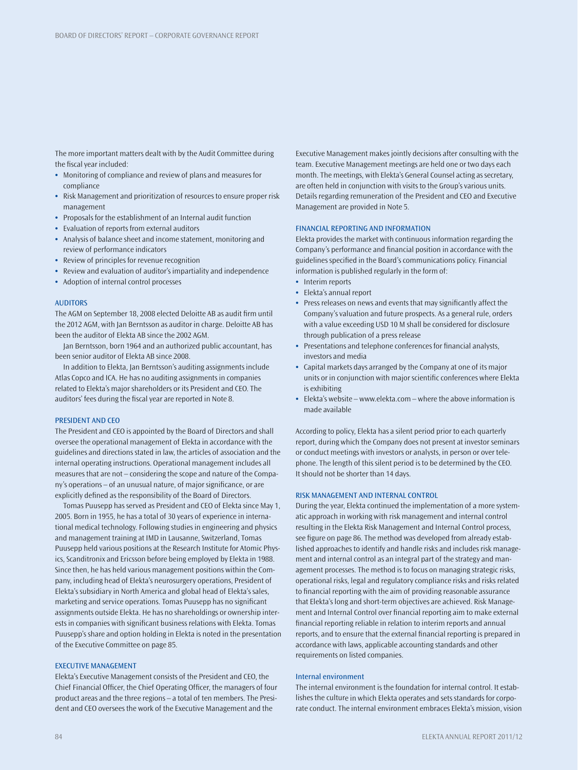The more important matters dealt with by the Audit Committee during the fiscal year included:

- **•** Monitoring of compliance and review of plans and measures for compliance
- **•** Risk Management and prioritization of resources to ensure proper risk management
- **•** Proposals for the establishment of an Internal audit function
- **•** Evaluation of reports from external auditors
- **•** Analysis of balance sheet and income statement, monitoring and review of performance indicators
- **•** Review of principles for revenue recognition
- **•** Review and evaluation of auditor's impartiality and independence
- **•** Adoption of internal control processes

#### AUDITORS

The AGM on September 18, 2008 elected Deloitte AB as audit firm until the 2012 AGM, with Jan Berntsson as auditor in charge. Deloitte AB has been the auditor of Elekta AB since the 2002 AGM.

Jan Berntsson, born 1964 and an authorized public accountant, has been senior auditor of Elekta AB since 2008.

In addition to Elekta, Jan Berntsson's auditing assignments include Atlas Copco and ICA. He has no auditing assignments in companies related to Elekta's major shareholders or its President and CEO. The auditors' fees during the fiscal year are reported in Note 8.

#### PRESIDENT AND CEO

The President and CEO is appointed by the Board of Directors and shall oversee the operational management of Elekta in accordance with the guidelines and directions stated in law, the articles of association and the internal operating instructions. Operational management includes all measures that are not – considering the scope and nature of the Company's operations - of an unusual nature, of major significance, or are explicitly defined as the responsibility of the Board of Directors.

Tomas Puusepp has served as President and CEO of Elekta since May 1, 2005. Born in 1955, he has a total of 30 years of experience in international medical technology. Following studies in engineering and physics and management training at IMD in Lausanne, Switzerland, Tomas Puusepp held various positions at the Research Institute for Atomic Physics, Scanditronix and Ericsson before being employed by Elekta in 1988. Since then, he has held various management positions within the Company, including head of Elekta's neurosurgery operations, President of Elekta's subsidiary in North America and global head of Elekta's sales, marketing and service operations. Tomas Puusepp has no significant assignments outside Elekta. He has no shareholdings or ownership interests in companies with significant business relations with Elekta. Tomas Puusepp's share and option holding in Elekta is noted in the presentation of the Executive Committee on page 85.

#### EXECUTIVE MANAGEMENT

Elekta's Executive Management consists of the President and CEO, the Chief Financial Officer, the Chief Operating Officer, the managers of four product areas and the three regions – a total of ten members. The President and CEO oversees the work of the Executive Management and the

Executive Management makes jointly decisions after consulting with the team. Executive Management meetings are held one or two days each month. The meetings, with Elekta's General Counsel acting as secretary, are often held in conjunction with visits to the Group's various units. Details regarding remuneration of the President and CEO and Executive Management are provided in Note 5.

# FINANCIAL REPORTING AND INFORMATION

Elekta provides the market with continuous information regarding the Company's performance and financial position in accordance with the guidelines specified in the Board's communications policy. Financial information is published regularly in the form of:

- **•** Interim reports
- **•** Elekta's annual report
- Press releases on news and events that may significantly affect the Company's valuation and future prospects. As a general rule, orders with a value exceeding USD 10 M shall be considered for disclosure through publication of a press release
- Presentations and telephone conferences for financial analysts, investors and media
- **•** Capital markets days arranged by the Company at one of its major units or in conjunction with major scientific conferences where Elekta is exhibiting
- **•** Elekta's website www.elekta.com where the above information is made available

According to policy, Elekta has a silent period prior to each quarterly report, during which the Company does not present at investor seminars or conduct meetings with investors or analysts, in person or over telephone. The length of this silent period is to be determined by the CEO. It should not be shorter than 14 days.

# RISK MANAGEMENT AND INTERNAL CONTROL

During the year, Elekta continued the implementation of a more systematic approach in working with risk management and internal control resulting in the Elekta Risk Management and Internal Control process, see figure on page 86. The method was developed from already established approaches to identify and handle risks and includes risk management and internal control as an integral part of the strategy and management processes. The method is to focus on managing strategic risks, operational risks, legal and regulatory compliance risks and risks related to financial reporting with the aim of providing reasonable assurance that Elekta's long and short-term objectives are achieved. Risk Management and Internal Control over financial reporting aim to make external financial reporting reliable in relation to interim reports and annual reports, and to ensure that the external financial reporting is prepared in accordance with laws, applicable accounting standards and other requirements on listed companies.

#### Internal environment

The internal environment is the foundation for internal control. It establishes the culture in which Elekta operates and sets standards for corporate conduct. The internal environment embraces Elekta's mission, vision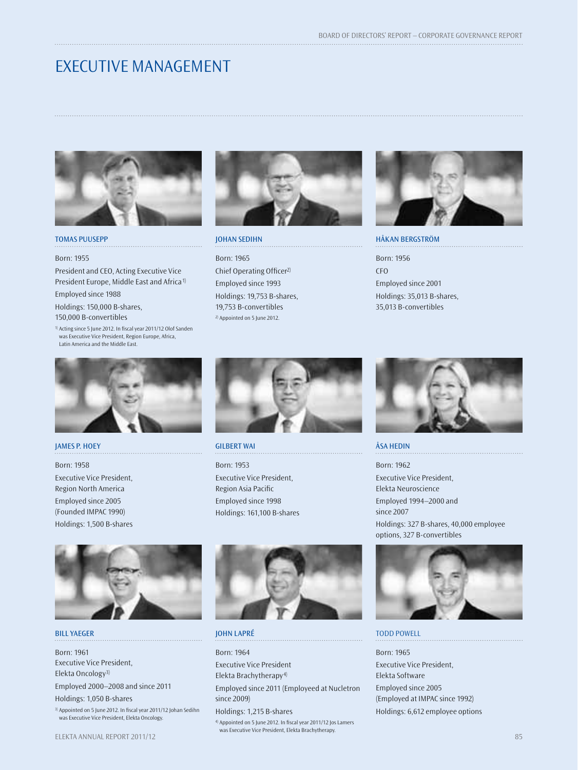# EXECUTIVE MANAGEMENT



# TOMAS PUUSEPP

#### Born: 1955

President and CEO, Acting Executive Vice President Europe, Middle East and Africa1)

Employed since 1988

Holdings: 150,000 B-shares, 150,000 B-convertibles

<sup>1)</sup> Acting since 5 June 2012. In fiscal year 2011/12 Olof Sanden was Executive Vice President, Region Europe, Africa, Latin America and the Middle East.



# JOHAN SEDIHN

Born: 1965 Chief Operating Officer<sup>2)</sup> Employed since 1993 Holdings: 19,753 B-shares, 19,753 B-convertibles 2) Appointed on 5 June 2012.



HÅKAN BERGSTRÖM Born: 1956 CFO Employed since 2001 Holdings: 35,013 B-shares, 35,013 B-convertibles



## JAMES P. HOEY

Born: 1958 Executive Vice President, Region North America Employed since 2005 (Founded IMPAC 1990) Holdings: 1,500 B-shares



### BILL YAEGER

Born: 1961 Executive Vice President, Elekta Oncology3) Employed 2000–2008 and since 2011 Holdings: 1,050 B-shares 3) Appointed on 5 June 2012. In fiscal year 2011/12 Johan Sedihn was Executive Vice President, Elekta Oncology.



GILBERT WAI

Born: 1953 Executive Vice President, Region Asia Pacific Employed since 1998 Holdings: 161,100 B-shares



# JOHN LAPRÉ

Born: 1964 Executive Vice President Elekta Brachytherapy4) Employed since 2011 (Employeed at Nucletron since 2009) Holdings: 1,215 B-shares

4) Appointed on 5 June 2012. In fiscal year 2011/12 Jos Lamers was Executive Vice President, Elekta Brachytherapy. ELEKTA ANNUAL REPORT 2011/12 **85 Second Contract Contract Contract Contract Contract Contract Contract Contract Contract Contract Contract Contract Contract Contract Contract Contract Contract Contract Contract Contract Co** 



# ÅSA HEDIN

Born: 1962 Executive Vice President, Elekta Neuroscience Employed 1994–2000 and since 2007 Holdings: 327 B-shares, 40,000 employee options, 327 B-convertibles



## TODD POWELL

Born: 1965 Executive Vice President, Elekta Software Employed since 2005 (Employed at IMPAC since 1992) Holdings: 6,612 employee options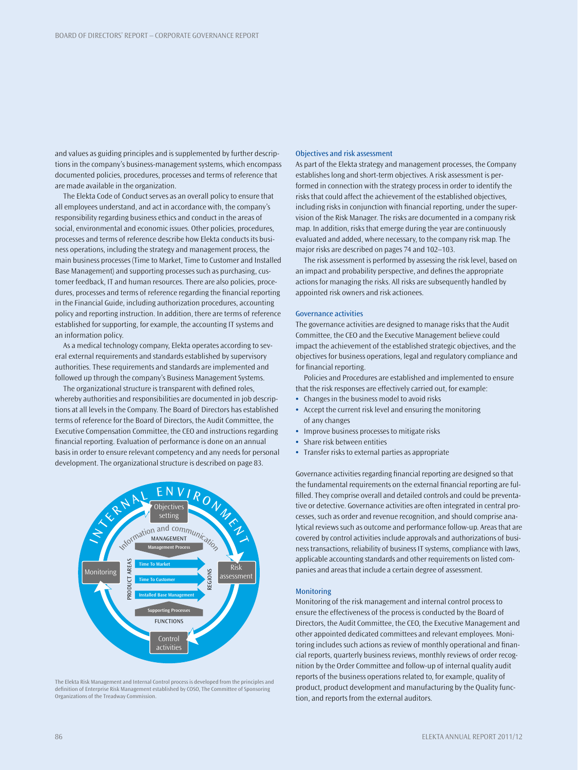and values as guiding principles and is supplemented by further descriptions in the company's business-management systems, which encompass documented policies, procedures, processes and terms of reference that are made available in the organization.

The Elekta Code of Conduct serves as an overall policy to ensure that all employees understand, and act in accordance with, the company's responsibility regarding business ethics and conduct in the areas of social, environmental and economic issues. Other policies, procedures, processes and terms of reference describe how Elekta conducts its business operations, including the strategy and management process, the main business processes (Time to Market, Time to Customer and Installed Base Management) and supporting processes such as purchasing, customer feedback, IT and human resources. There are also policies, procedures, processes and terms of reference regarding the financial reporting in the Financial Guide, including authorization procedures, accounting policy and reporting instruction. In addition, there are terms of reference established for supporting, for example, the accounting IT systems and an information policy.

As a medical technology company, Elekta operates according to several external requirements and standards established by supervisory authorities. These requirements and standards are implemented and followed up through the company's Business Management Systems.

The organizational structure is transparent with defined roles, whereby authorities and responsibilities are documented in job descriptions at all levels in the Company. The Board of Directors has established terms of reference for the Board of Directors, the Audit Committee, the Executive Compensation Committee, the CEO and instructions regarding financial reporting. Evaluation of performance is done on an annual basis in order to ensure relevant competency and any needs for personal development. The organizational structure is described on page 83.



The Elekta Risk Management and Internal Control process is developed from the principles and definition of Enterprise Risk Management established by COSO, The Committee of Sponsoring Organizations of the Treadway Commission.

### Objectives and risk assessment

As part of the Elekta strategy and management processes, the Company establishes long and short-term objectives. A risk assessment is performed in connection with the strategy process in order to identify the risks that could affect the achievement of the established objectives, including risks in conjunction with financial reporting, under the supervision of the Risk Manager. The risks are documented in a company risk map. In addition, risks that emerge during the year are continuously evaluated and added, where necessary, to the company risk map. The major risks are described on pages 74 and 102–103.

The risk assessment is performed by assessing the risk level, based on an impact and probability perspective, and defines the appropriate actions for managing the risks. All risks are subsequently handled by appointed risk owners and risk actionees.

#### Governance activities

The governance activities are designed to manage risks that the Audit Committee, the CEO and the Executive Management believe could impact the achievement of the established strategic objectives, and the objectives for business operations, legal and regulatory compliance and for financial reporting.

Policies and Procedures are established and implemented to ensure that the risk responses are effectively carried out, for example:

- **•** Changes in the business model to avoid risks
- **•** Accept the current risk level and ensuring the monitoring of any changes
- **•** Improve business processes to mitigate risks
- **•** Share risk between entities
- **•** Transfer risks to external parties as appropriate

Governance activities regarding financial reporting are designed so that the fundamental requirements on the external financial reporting are fulfilled. They comprise overall and detailed controls and could be preventative or detective. Governance activities are often integrated in central processes, such as order and revenue recognition, and should comprise analytical reviews such as outcome and performance follow-up. Areas that are covered by control activities include approvals and authorizations of business transactions, reliability of business IT systems, compliance with laws, applicable accounting standards and other requirements on listed companies and areas that include a certain degree of assessment.

#### Monitoring

Monitoring of the risk management and internal control process to ensure the effectiveness of the process is conducted by the Board of Directors, the Audit Committee, the CEO, the Executive Management and other appointed dedicated committees and relevant employees. Monitoring includes such actions as review of monthly operational and financial reports, quarterly business reviews, monthly reviews of order recognition by the Order Committee and follow-up of internal quality audit reports of the business operations related to, for example, quality of product, product development and manufacturing by the Quality function, and reports from the external auditors.